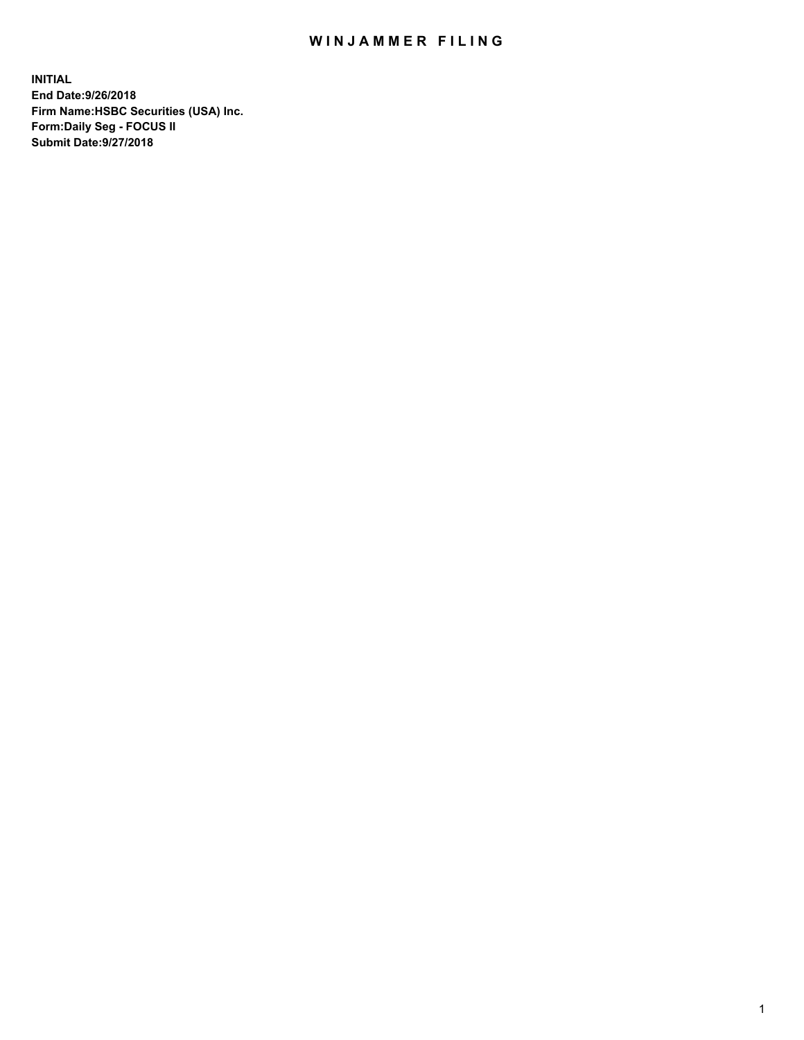## WIN JAMMER FILING

**INITIAL End Date:9/26/2018 Firm Name:HSBC Securities (USA) Inc. Form:Daily Seg - FOCUS II Submit Date:9/27/2018**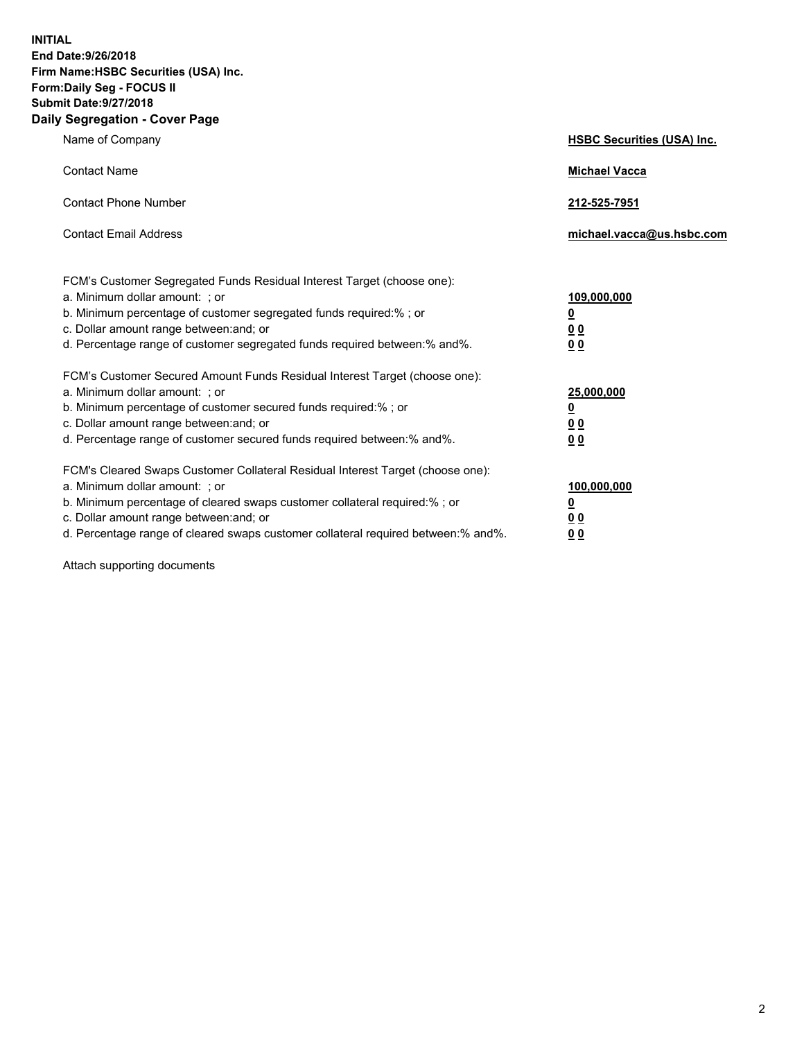**INITIAL End Date:9/26/2018 Firm Name:HSBC Securities (USA) Inc. Form:Daily Seg - FOCUS II Submit Date:9/27/2018 Daily Segregation - Cover Page**

| Name of Company                                                                                                                                                                                                                                                                                                                | <b>HSBC Securities (USA) Inc.</b>                                          |
|--------------------------------------------------------------------------------------------------------------------------------------------------------------------------------------------------------------------------------------------------------------------------------------------------------------------------------|----------------------------------------------------------------------------|
| <b>Contact Name</b>                                                                                                                                                                                                                                                                                                            | <b>Michael Vacca</b>                                                       |
| <b>Contact Phone Number</b>                                                                                                                                                                                                                                                                                                    | 212-525-7951                                                               |
| <b>Contact Email Address</b>                                                                                                                                                                                                                                                                                                   | michael.vacca@us.hsbc.com                                                  |
| FCM's Customer Segregated Funds Residual Interest Target (choose one):<br>a. Minimum dollar amount: : or<br>b. Minimum percentage of customer segregated funds required:% ; or<br>c. Dollar amount range between: and; or<br>d. Percentage range of customer segregated funds required between:% and%.                         | 109,000,000<br>$\overline{\mathbf{0}}$<br>0 <sub>0</sub><br>0 <sub>0</sub> |
| FCM's Customer Secured Amount Funds Residual Interest Target (choose one):<br>a. Minimum dollar amount: ; or<br>b. Minimum percentage of customer secured funds required:%; or<br>c. Dollar amount range between: and; or<br>d. Percentage range of customer secured funds required between:% and%.                            | 25,000,000<br>$\overline{\mathbf{0}}$<br>0 <sub>0</sub><br>0 <sub>0</sub>  |
| FCM's Cleared Swaps Customer Collateral Residual Interest Target (choose one):<br>a. Minimum dollar amount: ; or<br>b. Minimum percentage of cleared swaps customer collateral required:% ; or<br>c. Dollar amount range between: and; or<br>d. Percentage range of cleared swaps customer collateral required between:% and%. | 100,000,000<br>$\overline{\mathbf{0}}$<br>0 <sub>0</sub><br>0 <sub>0</sub> |

Attach supporting documents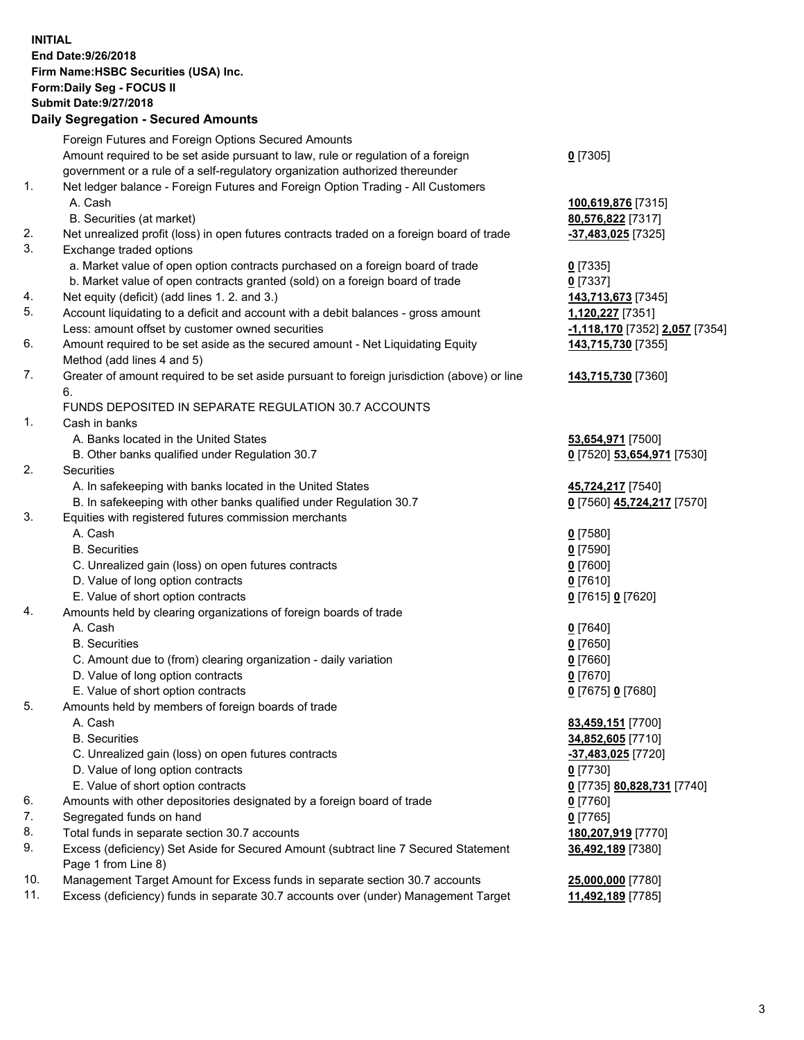**INITIAL End Date:9/26/2018 Firm Name:HSBC Securities (USA) Inc. Form:Daily Seg - FOCUS II Submit Date:9/27/2018 Daily Segregation - Secured Amounts** Foreign Futures and Foreign Options Secured Amounts Amount required to be set aside pursuant to law, rule or regulation of a foreign government or a rule of a self-regulatory organization authorized thereunder 1. Net ledger balance - Foreign Futures and Foreign Option Trading - All Customers A. Cash **100,619,876** [7315] B. Securities (at market) **80,576,822** [7317] 2. Net unrealized profit (loss) in open futures contracts traded on a foreign board of trade **-37,483,025** [7325] 3. Exchange traded options a. Market value of open option contracts purchased on a foreign board of trade **0** [7335] b. Market value of open contracts granted (sold) on a foreign board of trade **0** [7337] 4. Net equity (deficit) (add lines 1. 2. and 3.) **143,713,673** [7345] 5. Account liquidating to a deficit and account with a debit balances - gross amount **1,120,227** [7351] Less: amount offset by customer owned securities **-1,118,170** [7352] **2,057** [7354] 6. Amount required to be set aside as the secured amount - Net Liquidating Equity Method (add lines 4 and 5) 7. Greater of amount required to be set aside pursuant to foreign jurisdiction (above) or line 6. FUNDS DEPOSITED IN SEPARATE REGULATION 30.7 ACCOUNTS 1. Cash in banks A. Banks located in the United States **53,654,971** [7500] B. Other banks qualified under Regulation 30.7 **0** [7520] **53,654,971** [7530] 2. Securities A. In safekeeping with banks located in the United States **45,724,217** [7540] B. In safekeeping with other banks qualified under Regulation 30.7 **0** [7560] **45,724,217** [7570] 3. Equities with registered futures commission merchants A. Cash **0** [7580]

- B. Securities **0** [7590]
	- C. Unrealized gain (loss) on open futures contracts **0** [7600]
	- D. Value of long option contracts **0** [7610]
	- E. Value of short option contracts **0** [7615] **0** [7620]
- 4. Amounts held by clearing organizations of foreign boards of trade
	-
	-
	- C. Amount due to (from) clearing organization daily variation **0** [7660]
	- D. Value of long option contracts **0** [7670]
	- E. Value of short option contracts **0** [7675] **0** [7680]
- 5. Amounts held by members of foreign boards of trade
	-
	-
	- C. Unrealized gain (loss) on open futures contracts **-37,483,025** [7720]
	- D. Value of long option contracts **0** [7730]
	- E. Value of short option contracts **0** [7735] **80,828,731** [7740]
- 6. Amounts with other depositories designated by a foreign board of trade **0** [7760]
- 7. Segregated funds on hand **0** [7765]
- 8. Total funds in separate section 30.7 accounts **180,207,919** [7770]
- 9. Excess (deficiency) Set Aside for Secured Amount (subtract line 7 Secured Statement Page 1 from Line 8)
- 10. Management Target Amount for Excess funds in separate section 30.7 accounts **25,000,000** [7780]
- 11. Excess (deficiency) funds in separate 30.7 accounts over (under) Management Target **11,492,189** [7785]

**143,715,730** [7355] **143,715,730** [7360] A. Cash **0** [7640] B. Securities **0** [7650] A. Cash **83,459,151** [7700] B. Securities **34,852,605** [7710]

**36,492,189** [7380]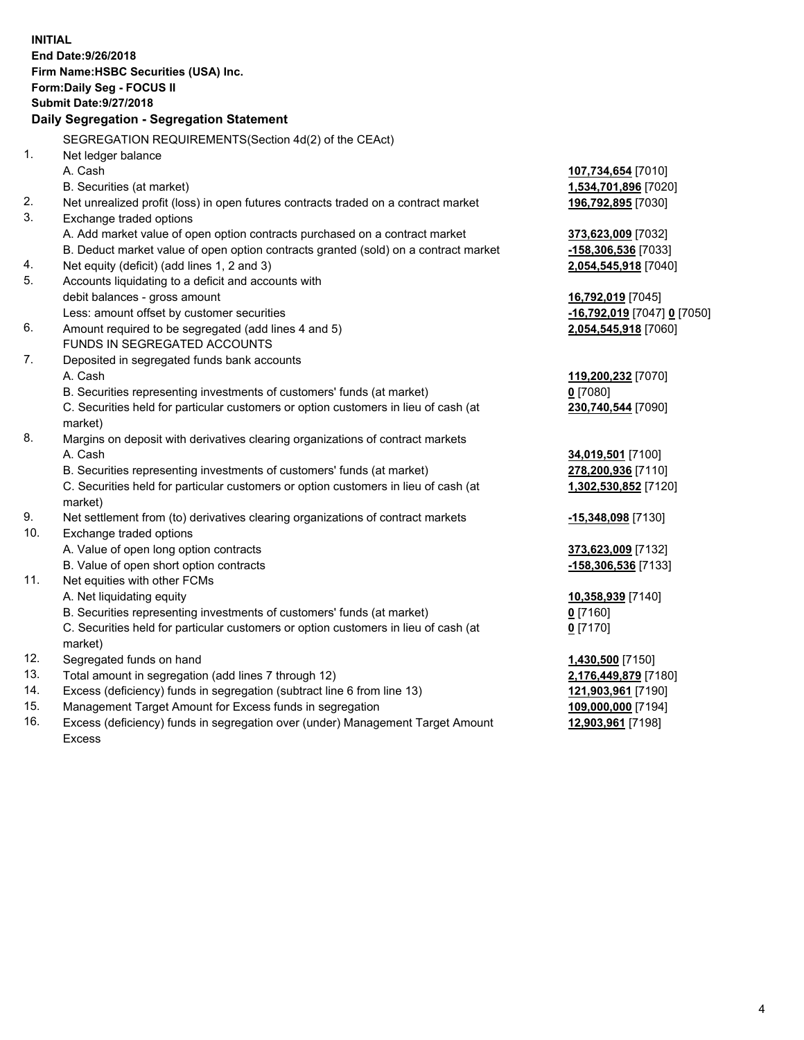**INITIAL End Date:9/26/2018 Firm Name:HSBC Securities (USA) Inc. Form:Daily Seg - FOCUS II Submit Date:9/27/2018 Daily Segregation - Segregation Statement** SEGREGATION REQUIREMENTS(Section 4d(2) of the CEAct) 1. Net ledger balance A. Cash **107,734,654** [7010] B. Securities (at market) **1,534,701,896** [7020] 2. Net unrealized profit (loss) in open futures contracts traded on a contract market **196,792,895** [7030] 3. Exchange traded options A. Add market value of open option contracts purchased on a contract market **373,623,009** [7032] B. Deduct market value of open option contracts granted (sold) on a contract market **-158,306,536** [7033] 4. Net equity (deficit) (add lines 1, 2 and 3) **2,054,545,918** [7040] 5. Accounts liquidating to a deficit and accounts with debit balances - gross amount **16,792,019** [7045] Less: amount offset by customer securities **-16,792,019** [7047] **0** [7050] 6. Amount required to be segregated (add lines 4 and 5) **2,054,545,918** [7060] FUNDS IN SEGREGATED ACCOUNTS 7. Deposited in segregated funds bank accounts A. Cash **119,200,232** [7070] B. Securities representing investments of customers' funds (at market) **0** [7080] C. Securities held for particular customers or option customers in lieu of cash (at market) **230,740,544** [7090] 8. Margins on deposit with derivatives clearing organizations of contract markets A. Cash **34,019,501** [7100] B. Securities representing investments of customers' funds (at market) **278,200,936** [7110] C. Securities held for particular customers or option customers in lieu of cash (at market) **1,302,530,852** [7120] 9. Net settlement from (to) derivatives clearing organizations of contract markets **-15,348,098** [7130] 10. Exchange traded options A. Value of open long option contracts **373,623,009** [7132] B. Value of open short option contracts **-158,306,536** [7133] 11. Net equities with other FCMs A. Net liquidating equity **10,358,939** [7140] B. Securities representing investments of customers' funds (at market) **0** [7160] C. Securities held for particular customers or option customers in lieu of cash (at market) **0** [7170] 12. Segregated funds on hand **1,430,500** [7150] 13. Total amount in segregation (add lines 7 through 12) **2,176,449,879** [7180] 14. Excess (deficiency) funds in segregation (subtract line 6 from line 13) **121,903,961** [7190] 15. Management Target Amount for Excess funds in segregation **109,000,000** [7194]

16. Excess (deficiency) funds in segregation over (under) Management Target Amount Excess

**12,903,961** [7198]